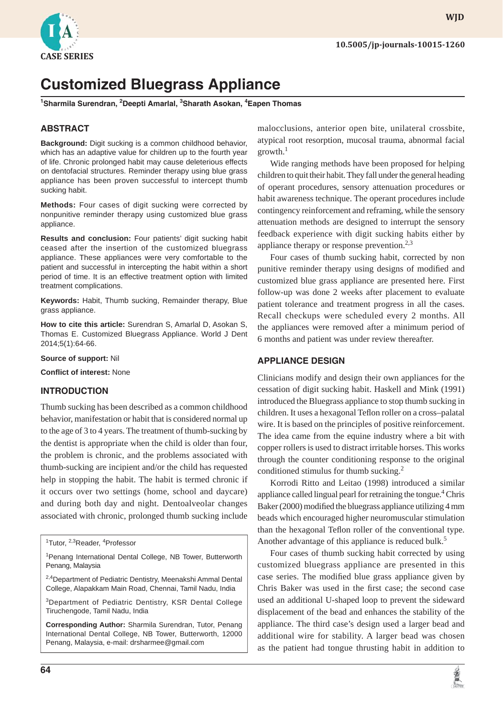

# **Customized Bluegrass Appliance**

**1 Sharmila Surendran, 2 Deepti Amarlal, <sup>3</sup> Sharath Asokan, 4 Eapen Thomas**

#### **ABSTRACT**

**Background:** Digit sucking is a common childhood behavior, which has an adaptive value for children up to the fourth year of life. Chronic prolonged habit may cause deleterious effects on dentofacial structures. Reminder therapy using blue grass appliance has been proven successful to intercept thumb sucking habit.

**Methods:** Four cases of digit sucking were corrected by nonpunitive reminder therapy using customized blue grass appliance.

**Results and conclusion:** Four patients' digit sucking habit ceased after the insertion of the customized bluegrass appliance. These appliances were very comfortable to the patient and successful in intercepting the habit within a short period of time. It is an effective treatment option with limited treatment complications.

**Keywords:** Habit, Thumb sucking, Remainder therapy, Blue grass appliance.

**How to cite this article:** Surendran S, Amarlal D, Asokan S, Thomas E. Customized Bluegrass Appliance. World J Dent 2014;5(1):64-66.

**Source of support:** Nil

**Confl ict of interest:** None

#### **INTRODUCTION**

Thumb sucking has been described as a common childhood behavior, manifestation or habit that is considered normal up to the age of 3 to 4 years. The treatment of thumb-sucking by the dentist is appropriate when the child is older than four, the problem is chronic, and the problems associated with thumb-sucking are incipient and/or the child has requested help in stopping the habit. The habit is termed chronic if it occurs over two settings (home, school and daycare) and during both day and night. Dentoalveolar changes associated with chronic, prolonged thumb sucking include

<sup>2,4</sup>Department of Pediatric Dentistry, Meenakshi Ammal Dental College, Alapakkam Main Road, Chennai, Tamil Nadu, India

3Department of Pediatric Dentistry, KSR Dental College Tiruchengode, Tamil Nadu, India

**Corresponding Author:** Sharmila Surendran, Tutor, Penang International Dental College, NB Tower, Butterworth, 12000 Penang, Malaysia, e-mail: drsharmee@gmail.com

malocclusions, anterior open bite, unilateral crossbite, atypical root resorption, mucosal trauma, abnormal facial  $growth.<sup>1</sup>$ 

Wide ranging methods have been proposed for helping children to quit their habit. They fall under the general heading of operant procedures, sensory attenuation procedures or habit awareness technique. The operant procedures include contingency reinforcement and reframing, while the sensory attenuation methods are designed to interrupt the sensory feedback experience with digit sucking habits either by appliance therapy or response prevention. $2,3$ 

Four cases of thumb sucking habit, corrected by non punitive reminder therapy using designs of modified and customized blue grass appliance are presented here. First follow-up was done 2 weeks after placement to evaluate patient tolerance and treatment progress in all the cases. Recall checkups were scheduled every 2 months. All the appliances were removed after a minimum period of 6 months and patient was under review thereafter.

#### **APPLIANCE DESIGN**

Clinicians modify and design their own appliances for the cessation of digit sucking habit. Haskell and Mink (1991) introduced the Bluegrass appliance to stop thumb sucking in children. It uses a hexagonal Teflon roller on a cross-palatal wire. It is based on the principles of positive reinforcement. The idea came from the equine industry where a bit with copper rollers is used to distract irritable horses. This works through the counter conditioning response to the original conditioned stimulus for thumb sucking.<sup>2</sup>

Korrodi Ritto and Leitao (1998) introduced a similar appliance called lingual pearl for retraining the tongue.<sup>4</sup> Chris Baker (2000) modified the bluegrass appliance utilizing 4 mm beads which encouraged higher neuromuscular stimulation than the hexagonal Teflon roller of the conventional type. Another advantage of this appliance is reduced bulk.<sup>5</sup>

Four cases of thumb sucking habit corrected by using customized bluegrass appliance are presented in this case series. The modified blue grass appliance given by Chris Baker was used in the first case; the second case used an additional U-shaped loop to prevent the sideward displacement of the bead and enhances the stability of the appliance. The third case's design used a larger bead and additional wire for stability. A larger bead was chosen as the patient had tongue thrusting habit in addition to



<sup>&</sup>lt;sup>1</sup>Tutor, <sup>2,3</sup>Reader, <sup>4</sup>Professor

<sup>&</sup>lt;sup>1</sup> Penang International Dental College, NB Tower, Butterworth Penang, Malaysia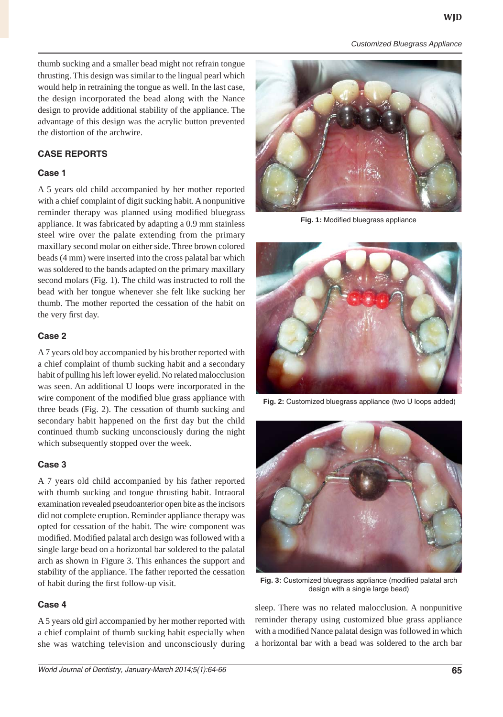*Customized Bluegrass Appliance*

thumb sucking and a smaller bead might not refrain tongue thrusting. This design was similar to the lingual pearl which would help in retraining the tongue as well. In the last case, the design incorporated the bead along with the Nance design to provide additional stability of the appliance. The advantage of this design was the acrylic button prevented the distortion of the archwire.

# **CASE REPORTS**

### **Case 1**

A 5 years old child accompanied by her mother reported with a chief complaint of digit sucking habit. A nonpunitive reminder therapy was planned using modified bluegrass appliance. It was fabricated by adapting a 0.9 mm stainless steel wire over the palate extending from the primary maxillary second molar on either side. Three brown colored beads (4 mm) were inserted into the cross palatal bar which was soldered to the bands adapted on the primary maxillary second molars (Fig. 1). The child was instructed to roll the bead with her tongue whenever she felt like sucking her thumb. The mother reported the cessation of the habit on the very first day.

# **Case 2**

A 7 years old boy accompanied by his brother reported with a chief complaint of thumb sucking habit and a secondary habit of pulling his left lower eyelid. No related malocclusion was seen. An additional U loops were incorporated in the wire component of the modified blue grass appliance with three beads (Fig. 2). The cessation of thumb sucking and secondary habit happened on the first day but the child continued thumb sucking unconsciously during the night which subsequently stopped over the week.

# **Case 3**

A 7 years old child accompanied by his father reported with thumb sucking and tongue thrusting habit. Intraoral examination revealed pseudoanterior open bite as the incisors did not complete eruption. Reminder appliance therapy was opted for cessation of the habit. The wire component was modified. Modified palatal arch design was followed with a single large bead on a horizontal bar soldered to the palatal arch as shown in Figure 3. This enhances the support and stability of the appliance. The father reported the cessation of habit during the first follow-up visit.

# **Case 4**

A 5 years old girl accompanied by her mother reported with a chief complaint of thumb sucking habit especially when she was watching television and unconsciously during



Fig. 1: Modified bluegrass appliance



**Fig. 2:** Customized bluegrass appliance (two U loops added)



Fig. 3: Customized bluegrass appliance (modified palatal arch design with a single large bead)

sleep. There was no related malocclusion. A nonpunitive reminder therapy using customized blue grass appliance with a modified Nance palatal design was followed in which a horizontal bar with a bead was soldered to the arch bar